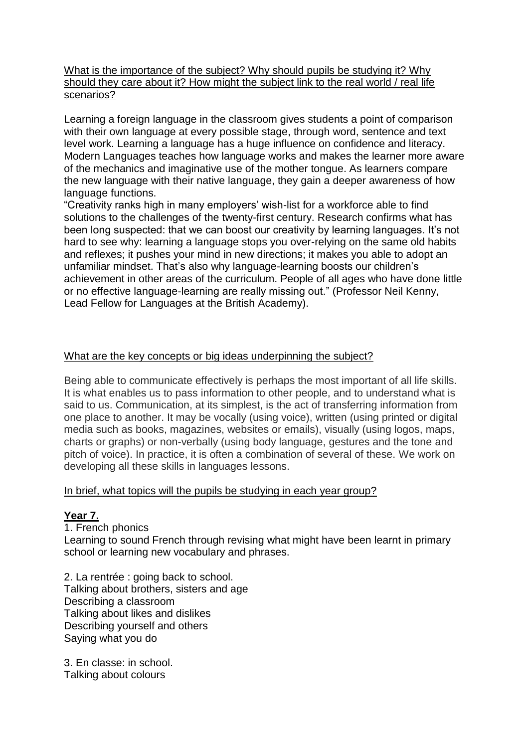What is the importance of the subject? Why should pupils be studying it? Why should they care about it? How might the subject link to the real world / real life scenarios?

Learning a foreign language in the classroom gives students a point of comparison with their own language at every possible stage, through word, sentence and text level work. Learning a language has a huge influence on confidence and literacy. Modern Languages teaches how language works and makes the learner more aware of the mechanics and imaginative use of the mother tongue. As learners compare the new language with their native language, they gain a deeper awareness of how language functions.

"Creativity ranks high in many employers' wish-list for a workforce able to find solutions to the challenges of the twenty-first century. Research confirms what has been long suspected: that we can boost our creativity by learning languages. It's not hard to see why: learning a language stops you over-relying on the same old habits and reflexes; it pushes your mind in new directions; it makes you able to adopt an unfamiliar mindset. That's also why language-learning boosts our children's achievement in other areas of the curriculum. People of all ages who have done little or no effective language-learning are really missing out." (Professor Neil Kenny, Lead Fellow for Languages at the British Academy).

# What are the key concepts or big ideas underpinning the subject?

Being able to communicate effectively is perhaps the most important of all life skills. It is what enables us to pass information to other people, and to understand what is said to us. Communication, at its simplest, is the act of transferring information from one place to another. It may be vocally (using voice), written (using printed or digital media such as books, magazines, websites or emails), visually (using logos, maps, charts or graphs) or non-verbally (using body language, gestures and the tone and pitch of voice). In practice, it is often a combination of several of these. We work on developing all these skills in languages lessons.

#### In brief, what topics will the pupils be studying in each year group?

#### **Year 7.**

1. French phonics Learning to sound French through revising what might have been learnt in primary school or learning new vocabulary and phrases.

2. La rentrée : going back to school. Talking about brothers, sisters and age Describing a classroom Talking about likes and dislikes Describing yourself and others Saying what you do

3. En classe: in school. Talking about colours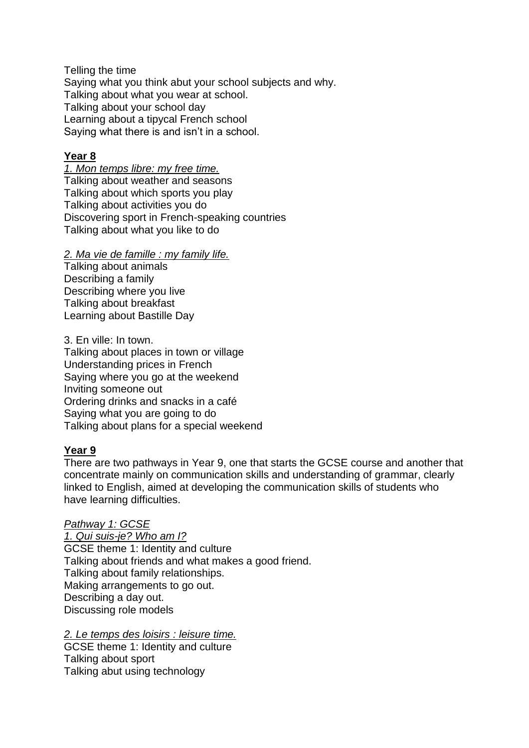Telling the time Saying what you think abut your school subjects and why. Talking about what you wear at school. Talking about your school day Learning about a tipycal French school Saying what there is and isn't in a school.

# **Year 8**

*1. Mon temps libre: my free time.* Talking about weather and seasons Talking about which sports you play Talking about activities you do Discovering sport in French-speaking countries Talking about what you like to do

*2. Ma vie de famille : my family life.*

Talking about animals Describing a family Describing where you live Talking about breakfast Learning about Bastille Day

3. En ville: In town. Talking about places in town or village Understanding prices in French Saying where you go at the weekend Inviting someone out Ordering drinks and snacks in a café Saying what you are going to do Talking about plans for a special weekend

# **Year 9**

There are two pathways in Year 9, one that starts the GCSE course and another that concentrate mainly on communication skills and understanding of grammar, clearly linked to English, aimed at developing the communication skills of students who have learning difficulties.

# *Pathway 1: GCSE*

*1. Qui suis-je? Who am I?* GCSE theme 1: Identity and culture Talking about friends and what makes a good friend. Talking about family relationships. Making arrangements to go out. Describing a day out. Discussing role models

*2. Le temps des loisirs : leisure time.* GCSE theme 1: Identity and culture Talking about sport Talking abut using technology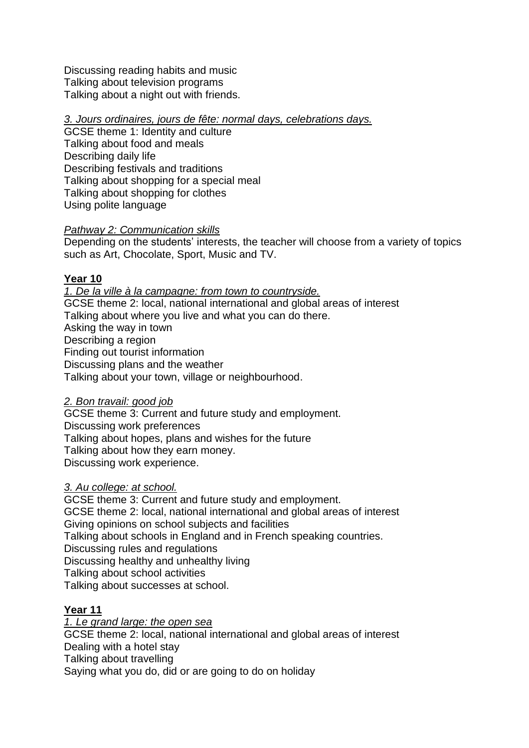Discussing reading habits and music Talking about television programs Talking about a night out with friends.

# *3. Jours ordinaires, jours de fête: normal days, celebrations days.*

GCSE theme 1: Identity and culture Talking about food and meals Describing daily life Describing festivals and traditions Talking about shopping for a special meal Talking about shopping for clothes Using polite language

# *Pathway 2: Communication skills*

Depending on the students' interests, the teacher will choose from a variety of topics such as Art, Chocolate, Sport, Music and TV.

# **Year 10**

*1. De la ville à la campagne: from town to countryside.*  GCSE theme 2: local, national international and global areas of interest Talking about where you live and what you can do there. Asking the way in town Describing a region Finding out tourist information Discussing plans and the weather Talking about your town, village or neighbourhood.

# *2. Bon travail: good job*

GCSE theme 3: Current and future study and employment. Discussing work preferences Talking about hopes, plans and wishes for the future Talking about how they earn money. Discussing work experience.

# *3. Au college: at school.*

GCSE theme 3: Current and future study and employment. GCSE theme 2: local, national international and global areas of interest Giving opinions on school subjects and facilities Talking about schools in England and in French speaking countries. Discussing rules and regulations Discussing healthy and unhealthy living Talking about school activities Talking about successes at school.

# **Year 11**

*1. Le grand large: the open sea* GCSE theme 2: local, national international and global areas of interest Dealing with a hotel stay Talking about travelling Saying what you do, did or are going to do on holiday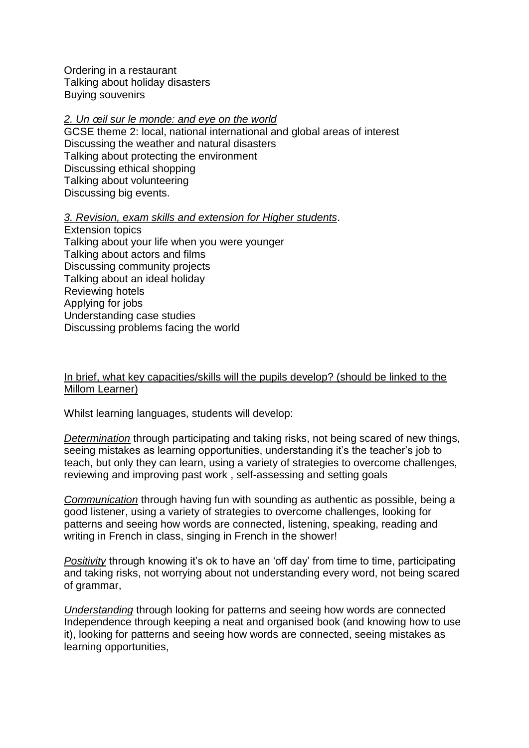Ordering in a restaurant Talking about holiday disasters Buying souvenirs

### *2. Un œil sur le monde: and eye on the world*

GCSE theme 2: local, national international and global areas of interest Discussing the weather and natural disasters Talking about protecting the environment Discussing ethical shopping Talking about volunteering Discussing big events.

#### *3. Revision, exam skills and extension for Higher students*.

Extension topics Talking about your life when you were younger Talking about actors and films Discussing community projects Talking about an ideal holiday Reviewing hotels Applying for jobs Understanding case studies Discussing problems facing the world

# In brief, what key capacities/skills will the pupils develop? (should be linked to the Millom Learner)

Whilst learning languages, students will develop:

*Determination* through participating and taking risks, not being scared of new things, seeing mistakes as learning opportunities, understanding it's the teacher's job to teach, but only they can learn, using a variety of strategies to overcome challenges, reviewing and improving past work , self-assessing and setting goals

*Communication* through having fun with sounding as authentic as possible, being a good listener, using a variety of strategies to overcome challenges, looking for patterns and seeing how words are connected, listening, speaking, reading and writing in French in class, singing in French in the shower!

*Positivity* through knowing it's ok to have an 'off day' from time to time, participating and taking risks, not worrying about not understanding every word, not being scared of grammar,

*Understanding* through looking for patterns and seeing how words are connected Independence through keeping a neat and organised book (and knowing how to use it), looking for patterns and seeing how words are connected, seeing mistakes as learning opportunities,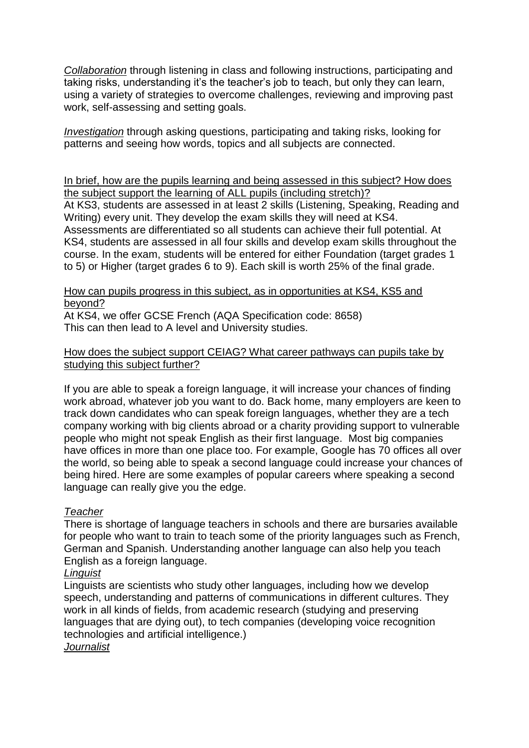*Collaboration* through listening in class and following instructions, participating and taking risks, understanding it's the teacher's job to teach, but only they can learn, using a variety of strategies to overcome challenges, reviewing and improving past work, self-assessing and setting goals.

*Investigation* through asking questions, participating and taking risks, looking for patterns and seeing how words, topics and all subjects are connected.

In brief, how are the pupils learning and being assessed in this subject? How does the subject support the learning of ALL pupils (including stretch)?

At KS3, students are assessed in at least 2 skills (Listening, Speaking, Reading and Writing) every unit. They develop the exam skills they will need at KS4. Assessments are differentiated so all students can achieve their full potential. At KS4, students are assessed in all four skills and develop exam skills throughout the course. In the exam, students will be entered for either Foundation (target grades 1 to 5) or Higher (target grades 6 to 9). Each skill is worth 25% of the final grade.

# How can pupils progress in this subject, as in opportunities at KS4, KS5 and beyond?

At KS4, we offer GCSE French (AQA Specification code: 8658) This can then lead to A level and University studies.

# How does the subject support CEIAG? What career pathways can pupils take by studying this subject further?

If you are able to speak a foreign language, it will increase your chances of finding work abroad, whatever job you want to do. Back home, many employers are keen to track down candidates who can speak foreign languages, whether they are a tech company working with big clients abroad or a charity providing support to vulnerable people who might not speak English as their first language. Most big companies have offices in more than one place too. For example, Google has 70 offices all over the world, so being able to speak a second language could increase your chances of being hired. Here are some examples of popular careers where speaking a second language can really give you the edge.

# *Teacher*

There is shortage of language teachers in schools and there are bursaries available for people who want to train to teach some of the priority languages such as French, German and Spanish. Understanding another language can also help you teach English as a foreign language.

# *Linguist*

Linguists are scientists who study other languages, including how we develop speech, understanding and patterns of communications in different cultures. They work in all kinds of fields, from academic research (studying and preserving languages that are dying out), to tech companies (developing voice recognition technologies and artificial intelligence.) *Journalist*